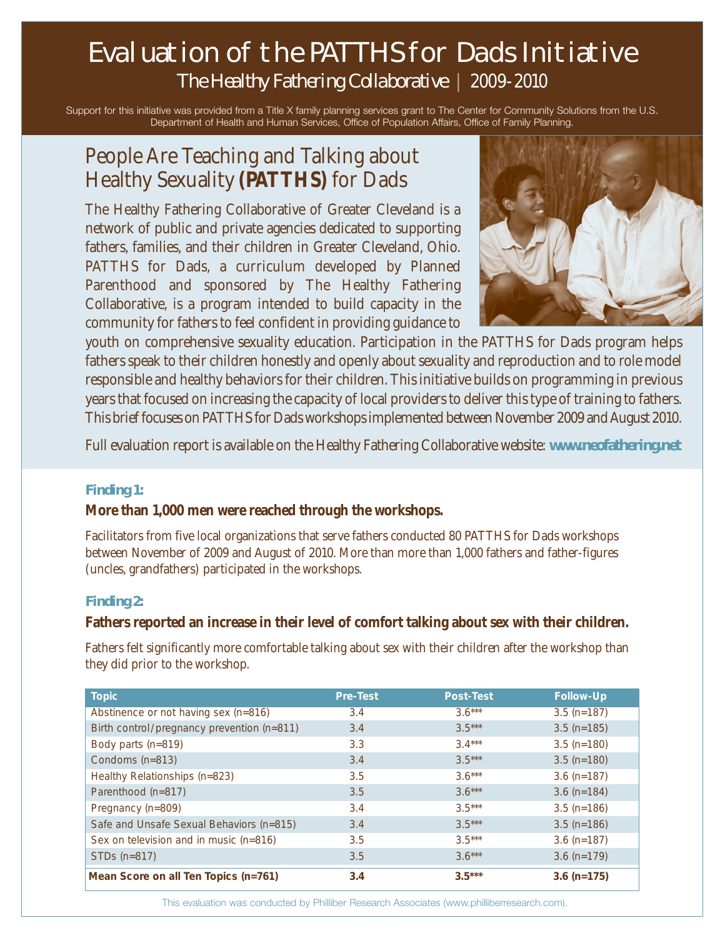# Evaluation of the PATTHS for Dads Initiative *The Healthy Fathering Collaborative* | 2009-2010

Support for this initiative was provided from a Title X family planning services grant to The Center for Community Solutions from the U.S. Department of Health and Human Services, Office of Population Affairs, Office of Family Planning.

## People Are Teaching and Talking about Healthy Sexuality **(PATTHS)** for Dads

The Healthy Fathering Collaborative of Greater Cleveland is a network of public and private agencies dedicated to supporting fathers, families, and their children in Greater Cleveland, Ohio. PATTHS for Dads, a curriculum developed by Planned Parenthood and sponsored by The Healthy Fathering Collaborative, is a program intended to build capacity in the community for fathers to feel confident in providing guidance to



youth on comprehensive sexuality education. Participation in the PATTHS for Dads program helps fathers speak to their children honestly and openly about sexuality and reproduction and to role model responsible and healthy behaviors for their children. This initiative builds on programming in previous years that focused on increasing the capacity of local providers to deliver this type of training to fathers. This brief focuses on PATTHS for Dads workshops implemented between November 2009 and August 2010.

Full evaluation report is available on the Healthy Fathering Collaborative website: **www.neofathering.net**

#### **Finding 1:**

#### **More than 1,000 men were reached through the workshops.**

Facilitators from five local organizations that serve fathers conducted 80 PATTHS for Dads workshops between November of 2009 and August of 2010. More than more than 1,000 fathers and father-figures (uncles, grandfathers) participated in the workshops.

#### **Finding 2:**

#### **Fathers reported an increase in their level of comfort talking about sex with their children.**

Fathers felt significantly more comfortable talking about sex with their children after the workshop than they did prior to the workshop.

| <b>Topic</b>                               | <b>Pre-Test</b> | <b>Post-Test</b> | <b>Follow-Up</b> |
|--------------------------------------------|-----------------|------------------|------------------|
| Abstinence or not having sex (n=816)       | 3.4             | $3.6***$         | $3.5$ (n=187)    |
| Birth control/pregnancy prevention (n=811) | 3.4             | $3.5***$         | $3.5$ (n=185)    |
| Body parts (n=819)                         | 3.3             | $3.4***$         | $3.5$ (n=180)    |
| Condoms (n=813)                            | 3.4             | $3.5***$         | $3.5$ (n=180)    |
| Healthy Relationships (n=823)              | 3.5             | $3.6***$         | $3.6$ (n=187)    |
| Parenthood (n=817)                         | 3.5             | $3.6***$         | $3.6$ (n=184)    |
| Pregnancy (n=809)                          | 3.4             | $3.5***$         | $3.5$ (n=186)    |
| Safe and Unsafe Sexual Behaviors (n=815)   | 3.4             | $3.5***$         | $3.5$ (n=186)    |
| Sex on television and in music (n=816)     | 3.5             | $3.5***$         | $3.6$ (n=187)    |
| STDs (n=817)                               | 3.5             | $3.6***$         | $3.6$ (n=179)    |
| Mean Score on all Ten Topics (n=761)       | 3.4             | $3.5***$         | $3.6$ (n=175)    |

This evaluation was conducted by Philliber Research Associates (www.philliberresearch.com).